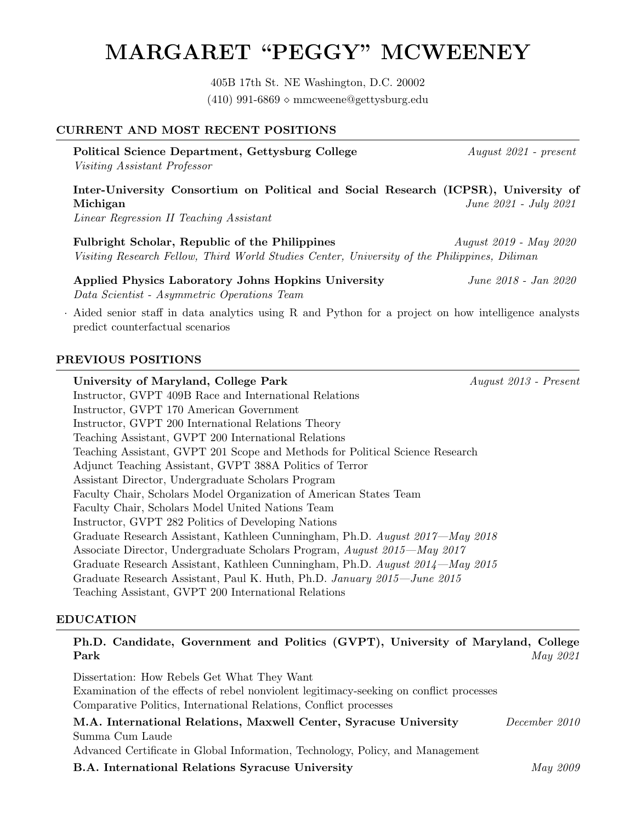# MARGARET "PEGGY" MCWEENEY

405B 17th St. NE Washington, D.C. 20002  $(410)$  991-6869  $\circ$  mmcweene@gettysburg.edu

#### CURRENT AND MOST RECENT POSITIONS

Political Science Department, Gettysburg College August 2021 - present Visiting Assistant Professor Inter-University Consortium on Political and Social Research (ICPSR), University of Michigan June 2021 - July 2021

Linear Regression II Teaching Assistant

Fulbright Scholar, Republic of the Philippines  $August 2019 - May 2020$ Visiting Research Fellow, Third World Studies Center, University of the Philippines, Diliman

#### Applied Physics Laboratory Johns Hopkins University June 2018 - Jan 2020 Data Scientist - Asymmetric Operations Team

· Aided senior staff in data analytics using R and Python for a project on how intelligence analysts predict counterfactual scenarios

#### PREVIOUS POSITIONS

University of Maryland, College Park August 2013 - Present Instructor, GVPT 409B Race and International Relations Instructor, GVPT 170 American Government Instructor, GVPT 200 International Relations Theory Teaching Assistant, GVPT 200 International Relations Teaching Assistant, GVPT 201 Scope and Methods for Political Science Research Adjunct Teaching Assistant, GVPT 388A Politics of Terror Assistant Director, Undergraduate Scholars Program Faculty Chair, Scholars Model Organization of American States Team Faculty Chair, Scholars Model United Nations Team Instructor, GVPT 282 Politics of Developing Nations Graduate Research Assistant, Kathleen Cunningham, Ph.D. August 2017—May 2018 Associate Director, Undergraduate Scholars Program, August 2015—May 2017 Graduate Research Assistant, Kathleen Cunningham, Ph.D. August 2014—May 2015 Graduate Research Assistant, Paul K. Huth, Ph.D. January 2015—June 2015 Teaching Assistant, GVPT 200 International Relations

## EDUCATION

Ph.D. Candidate, Government and Politics (GVPT), University of Maryland, College **Park**  $May\ 2021$ 

Dissertation: How Rebels Get What They Want Examination of the effects of rebel nonviolent legitimacy-seeking on conflict processes Comparative Politics, International Relations, Conflict processes

| M.A. International Relations, Maxwell Center, Syracuse University              | December 2010 |
|--------------------------------------------------------------------------------|---------------|
| Summa Cum Laude                                                                |               |
| Advanced Certificate in Global Information, Technology, Policy, and Management |               |
| <b>B.A.</b> International Relations Syracuse University                        | May 2009      |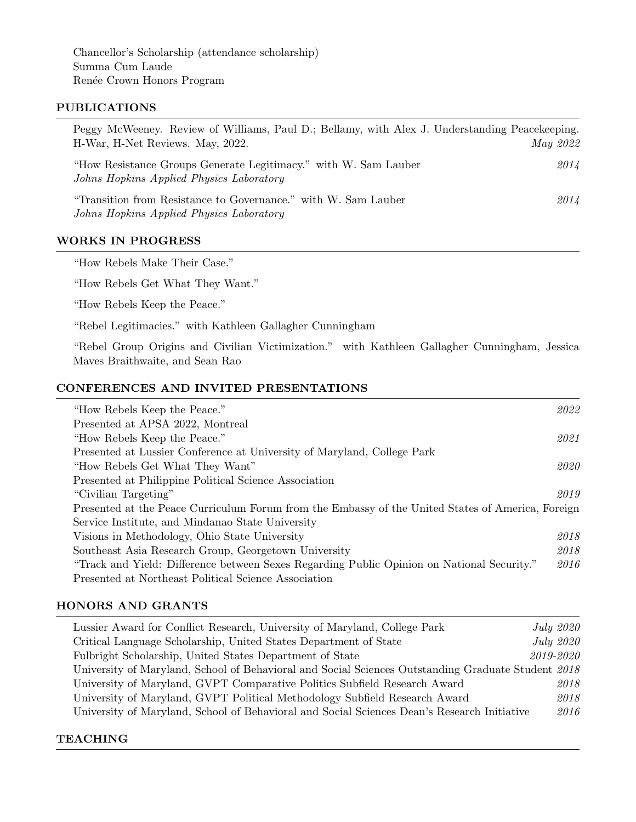Chancellor's Scholarship (attendance scholarship) Summa Cum Laude Renée Crown Honors Program

#### PUBLICATIONS

| Peggy McWeeney. Review of Williams, Paul D.; Bellamy, with Alex J. Understanding Peacekeeping.<br>H-War, H-Net Reviews. May, 2022. | May 2022 |
|------------------------------------------------------------------------------------------------------------------------------------|----------|
| "How Resistance Groups Generate Legitimacy." with W. Sam Lauber<br>Johns Hopkins Applied Physics Laboratory                        | 2014     |
| "Transition from Resistance to Governance." with W. Sam Lauber<br>Johns Hopkins Applied Physics Laboratory                         | 2014     |

# WORKS IN PROGRESS

"How Rebels Make Their Case."

"How Rebels Get What They Want."

"How Rebels Keep the Peace."

"Rebel Legitimacies." with Kathleen Gallagher Cunningham

"Rebel Group Origins and Civilian Victimization." with Kathleen Gallagher Cunningham, Jessica Maves Braithwaite, and Sean Rao

# CONFERENCES AND INVITED PRESENTATIONS

| "How Rebels Keep the Peace."                                                                      | 2022 |
|---------------------------------------------------------------------------------------------------|------|
| Presented at APSA 2022, Montreal                                                                  |      |
| "How Rebels Keep the Peace."                                                                      | 2021 |
| Presented at Lussier Conference at University of Maryland, College Park                           |      |
| "How Rebels Get What They Want"                                                                   | 2020 |
| Presented at Philippine Political Science Association                                             |      |
| "Civilian Targeting"                                                                              | 2019 |
| Presented at the Peace Curriculum Forum from the Embassy of the United States of America, Foreign |      |
| Service Institute, and Mindanao State University                                                  |      |
| Visions in Methodology, Ohio State University                                                     | 2018 |
| Southeast Asia Research Group, Georgetown University                                              | 2018 |
| "Track and Yield: Difference between Sexes Regarding Public Opinion on National Security."        | 2016 |
| Presented at Northeast Political Science Association                                              |      |

## HONORS AND GRANTS

| Lussier Award for Conflict Research, University of Maryland, College Park                          | <i>July 2020</i> |
|----------------------------------------------------------------------------------------------------|------------------|
| Critical Language Scholarship, United States Department of State                                   | <i>July 2020</i> |
| Fulbright Scholarship, United States Department of State                                           | 2019-2020        |
| University of Maryland, School of Behavioral and Social Sciences Outstanding Graduate Student 2018 |                  |
| University of Maryland, GVPT Comparative Politics Subfield Research Award                          | 2018             |
| University of Maryland, GVPT Political Methodology Subfield Research Award                         | 2018             |
| University of Maryland, School of Behavioral and Social Sciences Dean's Research Initiative        | 2016             |

# **TEACHING**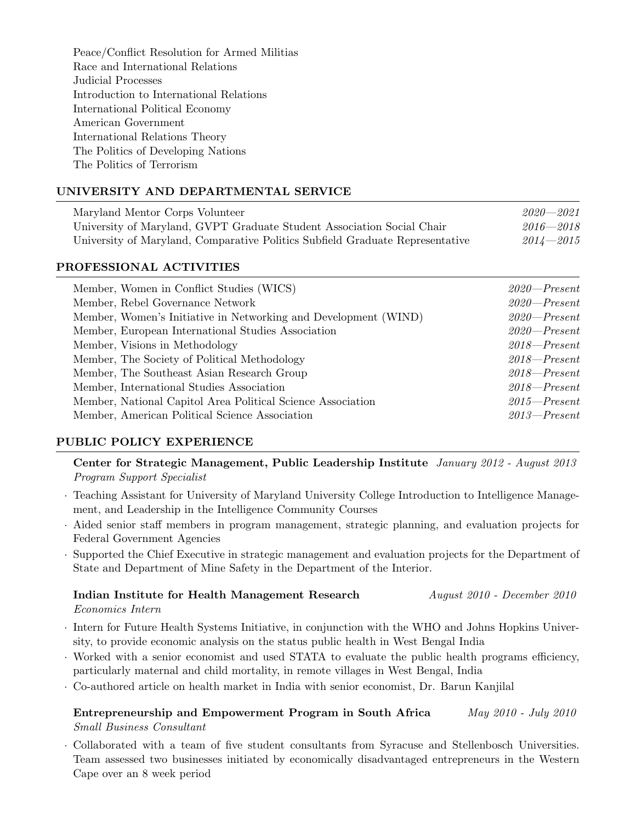Peace/Conflict Resolution for Armed Militias Race and International Relations Judicial Processes Introduction to International Relations International Political Economy American Government International Relations Theory The Politics of Developing Nations The Politics of Terrorism

# UNIVERSITY AND DEPARTMENTAL SERVICE

| Maryland Mentor Corps Volunteer                                               | $2020 - 2021$ |  |
|-------------------------------------------------------------------------------|---------------|--|
| University of Maryland, GVPT Graduate Student Association Social Chair        | $2016 - 2018$ |  |
| University of Maryland, Comparative Politics Subfield Graduate Representative | $2014 - 2015$ |  |

#### PROFESSIONAL ACTIVITIES

| Member, Women in Conflict Studies (WICS)                        | $2020 - Present$ |
|-----------------------------------------------------------------|------------------|
| Member, Rebel Governance Network                                | $2020 - Present$ |
| Member, Women's Initiative in Networking and Development (WIND) | $2020 - Present$ |
| Member, European International Studies Association              | $2020 - Present$ |
| Member, Visions in Methodology                                  | $2018 - Present$ |
| Member, The Society of Political Methodology                    | $2018$ -Present  |
| Member, The Southeast Asian Research Group                      | $2018 - Present$ |
| Member, International Studies Association                       | $2018 - Present$ |
| Member, National Capitol Area Political Science Association     | $2015$ – Present |
| Member, American Political Science Association                  | $2013$ – Present |

## PUBLIC POLICY EXPERIENCE

Center for Strategic Management, Public Leadership Institute January 2012 - August 2013 Program Support Specialist

- · Teaching Assistant for University of Maryland University College Introduction to Intelligence Management, and Leadership in the Intelligence Community Courses
- · Aided senior staff members in program management, strategic planning, and evaluation projects for Federal Government Agencies
- · Supported the Chief Executive in strategic management and evaluation projects for the Department of State and Department of Mine Safety in the Department of the Interior.

## Indian Institute for Health Management Research August 2010 - December 2010 Economics Intern

- · Intern for Future Health Systems Initiative, in conjunction with the WHO and Johns Hopkins University, to provide economic analysis on the status public health in West Bengal India
- · Worked with a senior economist and used STATA to evaluate the public health programs efficiency, particularly maternal and child mortality, in remote villages in West Bengal, India
- · Co-authored article on health market in India with senior economist, Dr. Barun Kanjilal

# Entrepreneurship and Empowerment Program in South Africa May 2010 - July 2010 Small Business Consultant

· Collaborated with a team of five student consultants from Syracuse and Stellenbosch Universities. Team assessed two businesses initiated by economically disadvantaged entrepreneurs in the Western Cape over an 8 week period